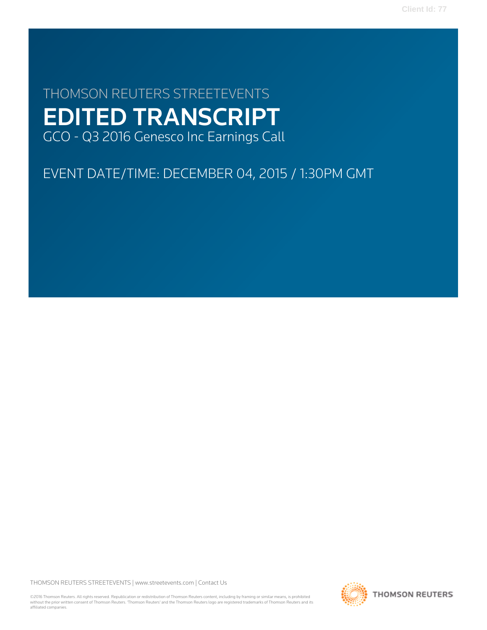**Client Id: 77**

# THOMSON REUTERS STREETEVENTS EDITED TRANSCRIPT GCO - Q3 2016 Genesco Inc Earnings Call

EVENT DATE/TIME: DECEMBER 04, 2015 / 1:30PM GMT

THOMSON REUTERS STREETEVENTS | [www.streetevents.com](http://www.streetevents.com) | [Contact Us](http://www010.streetevents.com/contact.asp)

©2016 Thomson Reuters. All rights reserved. Republication or redistribution of Thomson Reuters content, including by framing or similar means, is prohibited without the prior written consent of Thomson Reuters. 'Thomson Reuters' and the Thomson Reuters logo are registered trademarks of Thomson Reuters and its affiliated companies.

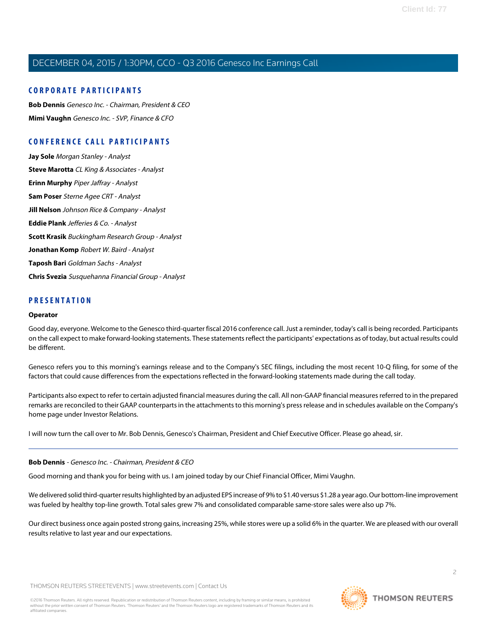### **CORPORATE PARTICIPANTS**

**[Bob Dennis](#page-1-0)** Genesco Inc. - Chairman, President & CEO **[Mimi Vaughn](#page-3-0)** Genesco Inc. - SVP, Finance & CFO

### **CONFERENCE CALL PARTICIPANTS**

**[Jay Sole](#page-6-0)** Morgan Stanley - Analyst **[Steve Marotta](#page-7-0)** CL King & Associates - Analyst **[Erinn Murphy](#page-9-0)** Piper Jaffray - Analyst **[Sam Poser](#page-10-0)** Sterne Agee CRT - Analyst **[Jill Nelson](#page-12-0)** Johnson Rice & Company - Analyst **[Eddie Plank](#page-13-0)** Jefferies & Co. - Analyst **[Scott Krasik](#page-14-0)** Buckingham Research Group - Analyst **[Jonathan Komp](#page-16-0)** Robert W. Baird - Analyst **[Taposh Bari](#page-18-0)** Goldman Sachs - Analyst **[Chris Svezia](#page-19-0)** Susquehanna Financial Group - Analyst

### **PRESENTATION**

#### **Operator**

Good day, everyone. Welcome to the Genesco third-quarter fiscal 2016 conference call. Just a reminder, today's call is being recorded. Participants on the call expect to make forward-looking statements. These statements reflect the participants' expectations as of today, but actual results could be different.

Genesco refers you to this morning's earnings release and to the Company's SEC filings, including the most recent 10-Q filing, for some of the factors that could cause differences from the expectations reflected in the forward-looking statements made during the call today.

Participants also expect to refer to certain adjusted financial measures during the call. All non-GAAP financial measures referred to in the prepared remarks are reconciled to their GAAP counterparts in the attachments to this morning's press release and in schedules available on the Company's home page under Investor Relations.

<span id="page-1-0"></span>I will now turn the call over to Mr. Bob Dennis, Genesco's Chairman, President and Chief Executive Officer. Please go ahead, sir.

#### **Bob Dennis** - Genesco Inc. - Chairman, President & CEO

Good morning and thank you for being with us. I am joined today by our Chief Financial Officer, Mimi Vaughn.

We delivered solid third-quarter results highlighted by an adjusted EPS increase of 9% to \$1.40 versus \$1.28 a year ago. Our bottom-line improvement was fueled by healthy top-line growth. Total sales grew 7% and consolidated comparable same-store sales were also up 7%.

Our direct business once again posted strong gains, increasing 25%, while stores were up a solid 6% in the quarter. We are pleased with our overall results relative to last year and our expectations.

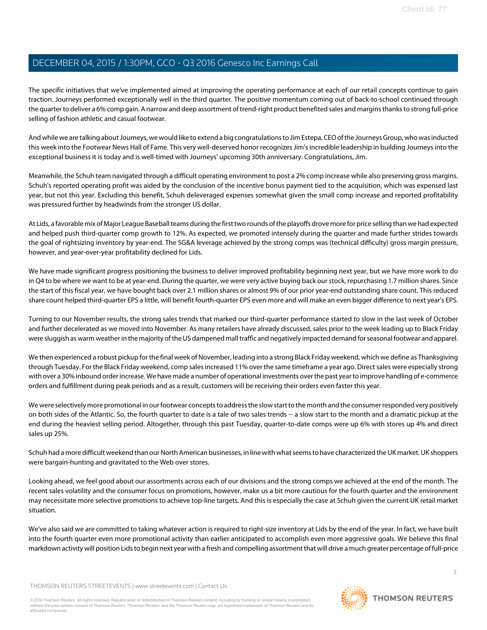The specific initiatives that we've implemented aimed at improving the operating performance at each of our retail concepts continue to gain traction. Journeys performed exceptionally well in the third quarter. The positive momentum coming out of back-to-school continued through the quarter to deliver a 6% comp gain. A narrow and deep assortment of trend-right product benefited sales and margins thanks to strong full-price selling of fashion athletic and casual footwear.

And while we are talking about Journeys, we would like to extend a big congratulations to Jim Estepa, CEO of the Journeys Group, who was inducted this week into the Footwear News Hall of Fame. This very well-deserved honor recognizes Jim's incredible leadership in building Journeys into the exceptional business it is today and is well-timed with Journeys' upcoming 30th anniversary. Congratulations, Jim.

Meanwhile, the Schuh team navigated through a difficult operating environment to post a 2% comp increase while also preserving gross margins. Schuh's reported operating profit was aided by the conclusion of the incentive bonus payment tied to the acquisition, which was expensed last year, but not this year. Excluding this benefit, Schuh deleveraged expenses somewhat given the small comp increase and reported profitability was pressured further by headwinds from the stronger US dollar.

At Lids, a favorable mix of Major League Baseball teams during the first two rounds of the playoffs drove more for price selling than we had expected and helped push third-quarter comp growth to 12%. As expected, we promoted intensely during the quarter and made further strides towards the goal of rightsizing inventory by year-end. The SG&A leverage achieved by the strong comps was (technical difficulty) gross margin pressure, however, and year-over-year profitability declined for Lids.

We have made significant progress positioning the business to deliver improved profitability beginning next year, but we have more work to do in Q4 to be where we want to be at year-end. During the quarter, we were very active buying back our stock, repurchasing 1.7 million shares. Since the start of this fiscal year, we have bought back over 2.1 million shares or almost 9% of our prior year-end outstanding share count. This reduced share count helped third-quarter EPS a little, will benefit fourth-quarter EPS even more and will make an even bigger difference to next year's EPS.

Turning to our November results, the strong sales trends that marked our third-quarter performance started to slow in the last week of October and further decelerated as we moved into November. As many retailers have already discussed, sales prior to the week leading up to Black Friday were sluggish as warm weather in the majority of the US dampened mall traffic and negatively impacted demand for seasonal footwear and apparel.

We then experienced a robust pickup for the final week of November, leading into a strong Black Friday weekend, which we define as Thanksgiving through Tuesday. For the Black Friday weekend, comp sales increased 11% over the same timeframe a year ago. Direct sales were especially strong with over a 30% inbound order increase. We have made a number of operational investments over the past year to improve handling of e-commerce orders and fulfillment during peak periods and as a result, customers will be receiving their orders even faster this year.

We were selectively more promotional in our footwear concepts to address the slow start to the month and the consumer responded very positively on both sides of the Atlantic. So, the fourth quarter to date is a tale of two sales trends -- a slow start to the month and a dramatic pickup at the end during the heaviest selling period. Altogether, through this past Tuesday, quarter-to-date comps were up 6% with stores up 4% and direct sales up 25%.

Schuh had a more difficult weekend than our North American businesses, in line with what seems to have characterized the UK market. UK shoppers were bargain-hunting and gravitated to the Web over stores.

Looking ahead, we feel good about our assortments across each of our divisions and the strong comps we achieved at the end of the month. The recent sales volatility and the consumer focus on promotions, however, make us a bit more cautious for the fourth quarter and the environment may necessitate more selective promotions to achieve top-line targets. And this is especially the case at Schuh given the current UK retail market situation.

We've also said we are committed to taking whatever action is required to right-size inventory at Lids by the end of the year. In fact, we have built into the fourth quarter even more promotional activity than earlier anticipated to accomplish even more aggressive goals. We believe this final markdown activity will position Lids to begin next year with a fresh and compelling assortment that will drive a much greater percentage of full-price

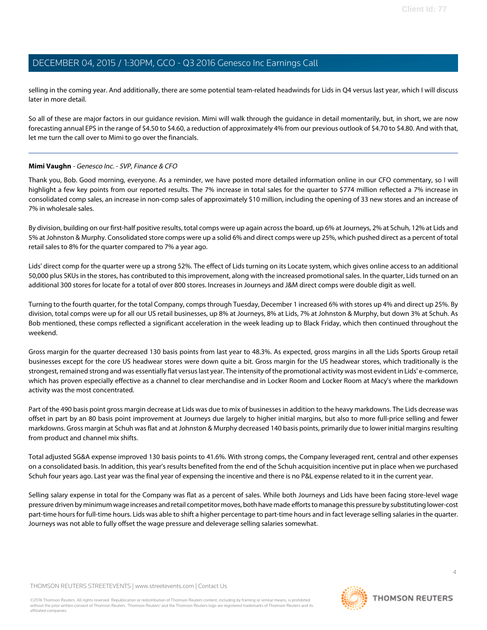selling in the coming year. And additionally, there are some potential team-related headwinds for Lids in Q4 versus last year, which I will discuss later in more detail.

So all of these are major factors in our guidance revision. Mimi will walk through the guidance in detail momentarily, but, in short, we are now forecasting annual EPS in the range of \$4.50 to \$4.60, a reduction of approximately 4% from our previous outlook of \$4.70 to \$4.80. And with that, let me turn the call over to Mimi to go over the financials.

### <span id="page-3-0"></span>**Mimi Vaughn** - Genesco Inc. - SVP, Finance & CFO

Thank you, Bob. Good morning, everyone. As a reminder, we have posted more detailed information online in our CFO commentary, so I will highlight a few key points from our reported results. The 7% increase in total sales for the quarter to \$774 million reflected a 7% increase in consolidated comp sales, an increase in non-comp sales of approximately \$10 million, including the opening of 33 new stores and an increase of 7% in wholesale sales.

By division, building on our first-half positive results, total comps were up again across the board, up 6% at Journeys, 2% at Schuh, 12% at Lids and 5% at Johnston & Murphy. Consolidated store comps were up a solid 6% and direct comps were up 25%, which pushed direct as a percent of total retail sales to 8% for the quarter compared to 7% a year ago.

Lids' direct comp for the quarter were up a strong 52%. The effect of Lids turning on its Locate system, which gives online access to an additional 50,000 plus SKUs in the stores, has contributed to this improvement, along with the increased promotional sales. In the quarter, Lids turned on an additional 300 stores for locate for a total of over 800 stores. Increases in Journeys and J&M direct comps were double digit as well.

Turning to the fourth quarter, for the total Company, comps through Tuesday, December 1 increased 6% with stores up 4% and direct up 25%. By division, total comps were up for all our US retail businesses, up 8% at Journeys, 8% at Lids, 7% at Johnston & Murphy, but down 3% at Schuh. As Bob mentioned, these comps reflected a significant acceleration in the week leading up to Black Friday, which then continued throughout the weekend.

Gross margin for the quarter decreased 130 basis points from last year to 48.3%. As expected, gross margins in all the Lids Sports Group retail businesses except for the core US headwear stores were down quite a bit. Gross margin for the US headwear stores, which traditionally is the strongest, remained strong and was essentially flat versus last year. The intensity of the promotional activity was most evident in Lids' e-commerce, which has proven especially effective as a channel to clear merchandise and in Locker Room and Locker Room at Macy's where the markdown activity was the most concentrated.

Part of the 490 basis point gross margin decrease at Lids was due to mix of businesses in addition to the heavy markdowns. The Lids decrease was offset in part by an 80 basis point improvement at Journeys due largely to higher initial margins, but also to more full-price selling and fewer markdowns. Gross margin at Schuh was flat and at Johnston & Murphy decreased 140 basis points, primarily due to lower initial margins resulting from product and channel mix shifts.

Total adjusted SG&A expense improved 130 basis points to 41.6%. With strong comps, the Company leveraged rent, central and other expenses on a consolidated basis. In addition, this year's results benefited from the end of the Schuh acquisition incentive put in place when we purchased Schuh four years ago. Last year was the final year of expensing the incentive and there is no P&L expense related to it in the current year.

Selling salary expense in total for the Company was flat as a percent of sales. While both Journeys and Lids have been facing store-level wage pressure driven by minimum wage increases and retail competitor moves, both have made efforts to manage this pressure by substituting lower-cost part-time hours for full-time hours. Lids was able to shift a higher percentage to part-time hours and in fact leverage selling salaries in the quarter. Journeys was not able to fully offset the wage pressure and deleverage selling salaries somewhat.

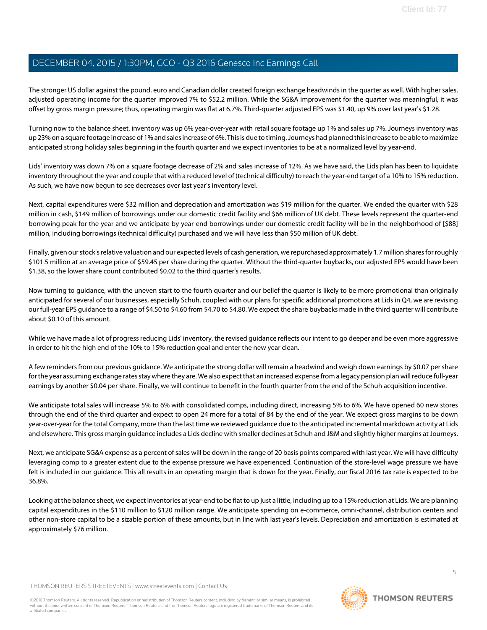The stronger US dollar against the pound, euro and Canadian dollar created foreign exchange headwinds in the quarter as well. With higher sales, adjusted operating income for the quarter improved 7% to \$52.2 million. While the SG&A improvement for the quarter was meaningful, it was offset by gross margin pressure; thus, operating margin was flat at 6.7%. Third-quarter adjusted EPS was \$1.40, up 9% over last year's \$1.28.

Turning now to the balance sheet, inventory was up 6% year-over-year with retail square footage up 1% and sales up 7%. Journeys inventory was up 23% on a square footage increase of 1% and sales increase of 6%. This is due to timing. Journeys had planned this increase to be able to maximize anticipated strong holiday sales beginning in the fourth quarter and we expect inventories to be at a normalized level by year-end.

Lids' inventory was down 7% on a square footage decrease of 2% and sales increase of 12%. As we have said, the Lids plan has been to liquidate inventory throughout the year and couple that with a reduced level of (technical difficulty) to reach the year-end target of a 10% to 15% reduction. As such, we have now begun to see decreases over last year's inventory level.

Next, capital expenditures were \$32 million and depreciation and amortization was \$19 million for the quarter. We ended the quarter with \$28 million in cash, \$149 million of borrowings under our domestic credit facility and \$66 million of UK debt. These levels represent the quarter-end borrowing peak for the year and we anticipate by year-end borrowings under our domestic credit facility will be in the neighborhood of [\$88] million, including borrowings (technical difficulty) purchased and we will have less than \$50 million of UK debt.

Finally, given our stock's relative valuation and our expected levels of cash generation, we repurchased approximately 1.7 million shares for roughly \$101.5 million at an average price of \$59.45 per share during the quarter. Without the third-quarter buybacks, our adjusted EPS would have been \$1.38, so the lower share count contributed \$0.02 to the third quarter's results.

Now turning to guidance, with the uneven start to the fourth quarter and our belief the quarter is likely to be more promotional than originally anticipated for several of our businesses, especially Schuh, coupled with our plans for specific additional promotions at Lids in Q4, we are revising our full-year EPS guidance to a range of \$4.50 to \$4.60 from \$4.70 to \$4.80. We expect the share buybacks made in the third quarter will contribute about \$0.10 of this amount.

While we have made a lot of progress reducing Lids' inventory, the revised guidance reflects our intent to go deeper and be even more aggressive in order to hit the high end of the 10% to 15% reduction goal and enter the new year clean.

A few reminders from our previous guidance. We anticipate the strong dollar will remain a headwind and weigh down earnings by \$0.07 per share for the year assuming exchange rates stay where they are. We also expect that an increased expense from a legacy pension plan will reduce full-year earnings by another \$0.04 per share. Finally, we will continue to benefit in the fourth quarter from the end of the Schuh acquisition incentive.

We anticipate total sales will increase 5% to 6% with consolidated comps, including direct, increasing 5% to 6%. We have opened 60 new stores through the end of the third quarter and expect to open 24 more for a total of 84 by the end of the year. We expect gross margins to be down year-over-year for the total Company, more than the last time we reviewed guidance due to the anticipated incremental markdown activity at Lids and elsewhere. This gross margin guidance includes a Lids decline with smaller declines at Schuh and J&M and slightly higher margins at Journeys.

Next, we anticipate SG&A expense as a percent of sales will be down in the range of 20 basis points compared with last year. We will have difficulty leveraging comp to a greater extent due to the expense pressure we have experienced. Continuation of the store-level wage pressure we have felt is included in our guidance. This all results in an operating margin that is down for the year. Finally, our fiscal 2016 tax rate is expected to be 36.8%.

Looking at the balance sheet, we expect inventories at year-end to be flat to up just a little, including up to a 15% reduction at Lids. We are planning capital expenditures in the \$110 million to \$120 million range. We anticipate spending on e-commerce, omni-channel, distribution centers and other non-store capital to be a sizable portion of these amounts, but in line with last year's levels. Depreciation and amortization is estimated at approximately \$76 million.

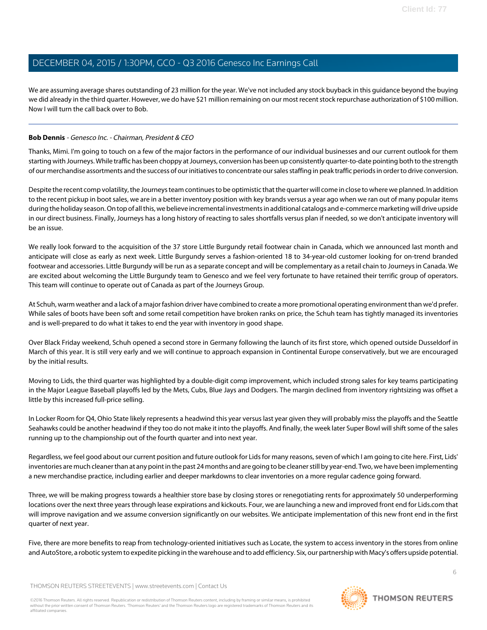We are assuming average shares outstanding of 23 million for the year. We've not included any stock buyback in this guidance beyond the buying we did already in the third quarter. However, we do have \$21 million remaining on our most recent stock repurchase authorization of \$100 million. Now I will turn the call back over to Bob.

#### **Bob Dennis** - Genesco Inc. - Chairman, President & CEO

Thanks, Mimi. I'm going to touch on a few of the major factors in the performance of our individual businesses and our current outlook for them starting with Journeys. While traffic has been choppy at Journeys, conversion has been up consistently quarter-to-date pointing both to the strength of our merchandise assortments and the success of our initiatives to concentrate our sales staffing in peak traffic periods in order to drive conversion.

Despite the recent comp volatility, the Journeys team continues to be optimistic that the quarter will come in close to where we planned. In addition to the recent pickup in boot sales, we are in a better inventory position with key brands versus a year ago when we ran out of many popular items during the holiday season. On top of all this, we believe incremental investments in additional catalogs and e-commerce marketing will drive upside in our direct business. Finally, Journeys has a long history of reacting to sales shortfalls versus plan if needed, so we don't anticipate inventory will be an issue.

We really look forward to the acquisition of the 37 store Little Burgundy retail footwear chain in Canada, which we announced last month and anticipate will close as early as next week. Little Burgundy serves a fashion-oriented 18 to 34-year-old customer looking for on-trend branded footwear and accessories. Little Burgundy will be run as a separate concept and will be complementary as a retail chain to Journeys in Canada. We are excited about welcoming the Little Burgundy team to Genesco and we feel very fortunate to have retained their terrific group of operators. This team will continue to operate out of Canada as part of the Journeys Group.

At Schuh, warm weather and a lack of a major fashion driver have combined to create a more promotional operating environment than we'd prefer. While sales of boots have been soft and some retail competition have broken ranks on price, the Schuh team has tightly managed its inventories and is well-prepared to do what it takes to end the year with inventory in good shape.

Over Black Friday weekend, Schuh opened a second store in Germany following the launch of its first store, which opened outside Dusseldorf in March of this year. It is still very early and we will continue to approach expansion in Continental Europe conservatively, but we are encouraged by the initial results.

Moving to Lids, the third quarter was highlighted by a double-digit comp improvement, which included strong sales for key teams participating in the Major League Baseball playoffs led by the Mets, Cubs, Blue Jays and Dodgers. The margin declined from inventory rightsizing was offset a little by this increased full-price selling.

In Locker Room for Q4, Ohio State likely represents a headwind this year versus last year given they will probably miss the playoffs and the Seattle Seahawks could be another headwind if they too do not make it into the playoffs. And finally, the week later Super Bowl will shift some of the sales running up to the championship out of the fourth quarter and into next year.

Regardless, we feel good about our current position and future outlook for Lids for many reasons, seven of which I am going to cite here. First, Lids' inventories are much cleaner than at any point in the past 24 months and are going to be cleaner still by year-end. Two, we have been implementing a new merchandise practice, including earlier and deeper markdowns to clear inventories on a more regular cadence going forward.

Three, we will be making progress towards a healthier store base by closing stores or renegotiating rents for approximately 50 underperforming locations over the next three years through lease expirations and kickouts. Four, we are launching a new and improved front end for Lids.com that will improve navigation and we assume conversion significantly on our websites. We anticipate implementation of this new front end in the first quarter of next year.

Five, there are more benefits to reap from technology-oriented initiatives such as Locate, the system to access inventory in the stores from online and AutoStore, a robotic system to expedite picking in the warehouse and to add efficiency. Six, our partnership with Macy's offers upside potential.

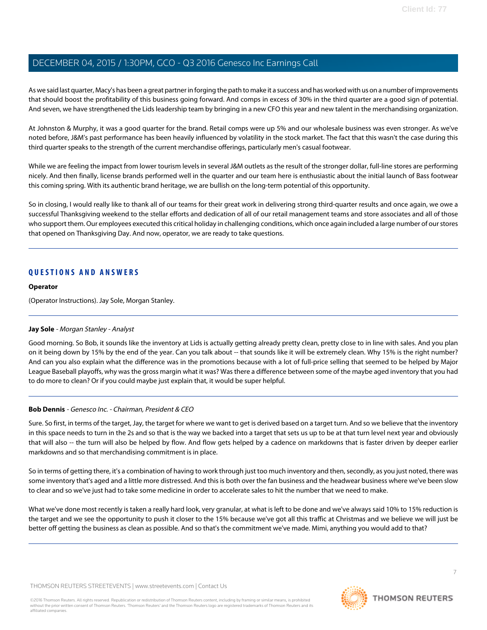As we said last quarter, Macy's has been a great partner in forging the path to make it a success and has worked with us on a number of improvements that should boost the profitability of this business going forward. And comps in excess of 30% in the third quarter are a good sign of potential. And seven, we have strengthened the Lids leadership team by bringing in a new CFO this year and new talent in the merchandising organization.

At Johnston & Murphy, it was a good quarter for the brand. Retail comps were up 5% and our wholesale business was even stronger. As we've noted before, J&M's past performance has been heavily influenced by volatility in the stock market. The fact that this wasn't the case during this third quarter speaks to the strength of the current merchandise offerings, particularly men's casual footwear.

While we are feeling the impact from lower tourism levels in several J&M outlets as the result of the stronger dollar, full-line stores are performing nicely. And then finally, license brands performed well in the quarter and our team here is enthusiastic about the initial launch of Bass footwear this coming spring. With its authentic brand heritage, we are bullish on the long-term potential of this opportunity.

So in closing, I would really like to thank all of our teams for their great work in delivering strong third-quarter results and once again, we owe a successful Thanksgiving weekend to the stellar efforts and dedication of all of our retail management teams and store associates and all of those who support them. Our employees executed this critical holiday in challenging conditions, which once again included a large number of our stores that opened on Thanksgiving Day. And now, operator, we are ready to take questions.

### **QUESTIONS AND ANSWERS**

#### **Operator**

<span id="page-6-0"></span>(Operator Instructions). Jay Sole, Morgan Stanley.

#### **Jay Sole** - Morgan Stanley - Analyst

Good morning. So Bob, it sounds like the inventory at Lids is actually getting already pretty clean, pretty close to in line with sales. And you plan on it being down by 15% by the end of the year. Can you talk about -- that sounds like it will be extremely clean. Why 15% is the right number? And can you also explain what the difference was in the promotions because with a lot of full-price selling that seemed to be helped by Major League Baseball playoffs, why was the gross margin what it was? Was there a difference between some of the maybe aged inventory that you had to do more to clean? Or if you could maybe just explain that, it would be super helpful.

#### **Bob Dennis** - Genesco Inc. - Chairman, President & CEO

Sure. So first, in terms of the target, Jay, the target for where we want to get is derived based on a target turn. And so we believe that the inventory in this space needs to turn in the 2s and so that is the way we backed into a target that sets us up to be at that turn level next year and obviously that will also -- the turn will also be helped by flow. And flow gets helped by a cadence on markdowns that is faster driven by deeper earlier markdowns and so that merchandising commitment is in place.

So in terms of getting there, it's a combination of having to work through just too much inventory and then, secondly, as you just noted, there was some inventory that's aged and a little more distressed. And this is both over the fan business and the headwear business where we've been slow to clear and so we've just had to take some medicine in order to accelerate sales to hit the number that we need to make.

What we've done most recently is taken a really hard look, very granular, at what is left to be done and we've always said 10% to 15% reduction is the target and we see the opportunity to push it closer to the 15% because we've got all this traffic at Christmas and we believe we will just be better off getting the business as clean as possible. And so that's the commitment we've made. Mimi, anything you would add to that?

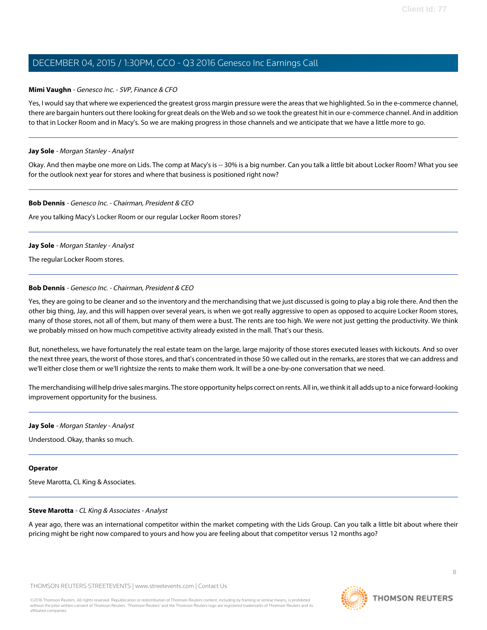#### **Mimi Vaughn** - Genesco Inc. - SVP, Finance & CFO

Yes, I would say that where we experienced the greatest gross margin pressure were the areas that we highlighted. So in the e-commerce channel, there are bargain hunters out there looking for great deals on the Web and so we took the greatest hit in our e-commerce channel. And in addition to that in Locker Room and in Macy's. So we are making progress in those channels and we anticipate that we have a little more to go.

#### **Jay Sole** - Morgan Stanley - Analyst

Okay. And then maybe one more on Lids. The comp at Macy's is -- 30% is a big number. Can you talk a little bit about Locker Room? What you see for the outlook next year for stores and where that business is positioned right now?

#### **Bob Dennis** - Genesco Inc. - Chairman, President & CEO

Are you talking Macy's Locker Room or our regular Locker Room stores?

#### **Jay Sole** - Morgan Stanley - Analyst

The regular Locker Room stores.

#### **Bob Dennis** - Genesco Inc. - Chairman, President & CEO

Yes, they are going to be cleaner and so the inventory and the merchandising that we just discussed is going to play a big role there. And then the other big thing, Jay, and this will happen over several years, is when we got really aggressive to open as opposed to acquire Locker Room stores, many of those stores, not all of them, but many of them were a bust. The rents are too high. We were not just getting the productivity. We think we probably missed on how much competitive activity already existed in the mall. That's our thesis.

But, nonetheless, we have fortunately the real estate team on the large, large majority of those stores executed leases with kickouts. And so over the next three years, the worst of those stores, and that's concentrated in those 50 we called out in the remarks, are stores that we can address and we'll either close them or we'll rightsize the rents to make them work. It will be a one-by-one conversation that we need.

The merchandising will help drive sales margins. The store opportunity helps correct on rents. All in, we think it all adds up to a nice forward-looking improvement opportunity for the business.

#### **Jay Sole** - Morgan Stanley - Analyst

Understood. Okay, thanks so much.

#### <span id="page-7-0"></span>**Operator**

Steve Marotta, CL King & Associates.

### **Steve Marotta** - CL King & Associates - Analyst

A year ago, there was an international competitor within the market competing with the Lids Group. Can you talk a little bit about where their pricing might be right now compared to yours and how you are feeling about that competitor versus 12 months ago?

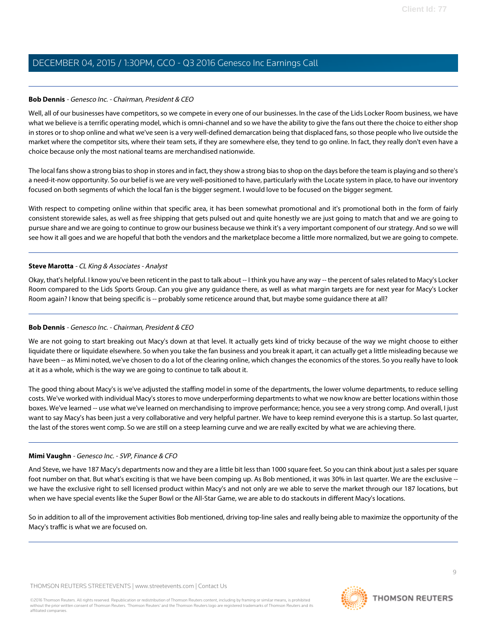#### **Bob Dennis** - Genesco Inc. - Chairman, President & CEO

Well, all of our businesses have competitors, so we compete in every one of our businesses. In the case of the Lids Locker Room business, we have what we believe is a terrific operating model, which is omni-channel and so we have the ability to give the fans out there the choice to either shop in stores or to shop online and what we've seen is a very well-defined demarcation being that displaced fans, so those people who live outside the market where the competitor sits, where their team sets, if they are somewhere else, they tend to go online. In fact, they really don't even have a choice because only the most national teams are merchandised nationwide.

The local fans show a strong bias to shop in stores and in fact, they show a strong bias to shop on the days before the team is playing and so there's a need-it-now opportunity. So our belief is we are very well-positioned to have, particularly with the Locate system in place, to have our inventory focused on both segments of which the local fan is the bigger segment. I would love to be focused on the bigger segment.

With respect to competing online within that specific area, it has been somewhat promotional and it's promotional both in the form of fairly consistent storewide sales, as well as free shipping that gets pulsed out and quite honestly we are just going to match that and we are going to pursue share and we are going to continue to grow our business because we think it's a very important component of our strategy. And so we will see how it all goes and we are hopeful that both the vendors and the marketplace become a little more normalized, but we are going to compete.

#### **Steve Marotta** - CL King & Associates - Analyst

Okay, that's helpful. I know you've been reticent in the past to talk about -- I think you have any way -- the percent of sales related to Macy's Locker Room compared to the Lids Sports Group. Can you give any guidance there, as well as what margin targets are for next year for Macy's Locker Room again? I know that being specific is -- probably some reticence around that, but maybe some guidance there at all?

### **Bob Dennis** - Genesco Inc. - Chairman, President & CEO

We are not going to start breaking out Macy's down at that level. It actually gets kind of tricky because of the way we might choose to either liquidate there or liquidate elsewhere. So when you take the fan business and you break it apart, it can actually get a little misleading because we have been -- as Mimi noted, we've chosen to do a lot of the clearing online, which changes the economics of the stores. So you really have to look at it as a whole, which is the way we are going to continue to talk about it.

The good thing about Macy's is we've adjusted the staffing model in some of the departments, the lower volume departments, to reduce selling costs. We've worked with individual Macy's stores to move underperforming departments to what we now know are better locations within those boxes. We've learned -- use what we've learned on merchandising to improve performance; hence, you see a very strong comp. And overall, I just want to say Macy's has been just a very collaborative and very helpful partner. We have to keep remind everyone this is a startup. So last quarter, the last of the stores went comp. So we are still on a steep learning curve and we are really excited by what we are achieving there.

### **Mimi Vaughn** - Genesco Inc. - SVP, Finance & CFO

And Steve, we have 187 Macy's departments now and they are a little bit less than 1000 square feet. So you can think about just a sales per square foot number on that. But what's exciting is that we have been comping up. As Bob mentioned, it was 30% in last quarter. We are the exclusive - we have the exclusive right to sell licensed product within Macy's and not only are we able to serve the market through our 187 locations, but when we have special events like the Super Bowl or the All-Star Game, we are able to do stackouts in different Macy's locations.

So in addition to all of the improvement activities Bob mentioned, driving top-line sales and really being able to maximize the opportunity of the Macy's traffic is what we are focused on.

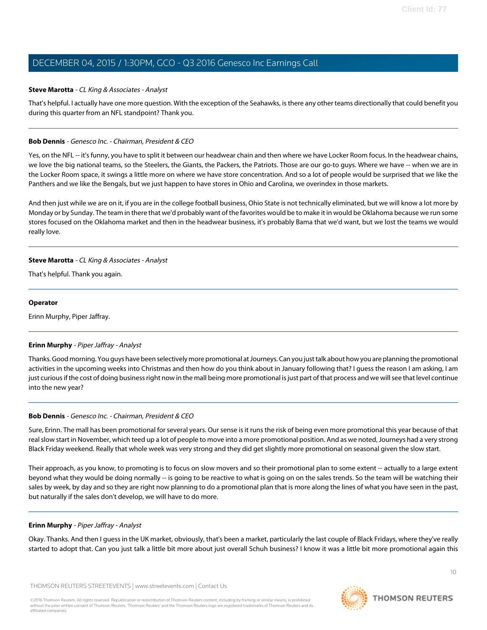#### **Steve Marotta** - CL King & Associates - Analyst

That's helpful. I actually have one more question. With the exception of the Seahawks, is there any other teams directionally that could benefit you during this quarter from an NFL standpoint? Thank you.

#### **Bob Dennis** - Genesco Inc. - Chairman, President & CEO

Yes, on the NFL -- it's funny, you have to split it between our headwear chain and then where we have Locker Room focus. In the headwear chains, we love the big national teams, so the Steelers, the Giants, the Packers, the Patriots. Those are our go-to guys. Where we have -- when we are in the Locker Room space, it swings a little more on where we have store concentration. And so a lot of people would be surprised that we like the Panthers and we like the Bengals, but we just happen to have stores in Ohio and Carolina, we overindex in those markets.

And then just while we are on it, if you are in the college football business, Ohio State is not technically eliminated, but we will know a lot more by Monday or by Sunday. The team in there that we'd probably want of the favorites would be to make it in would be Oklahoma because we run some stores focused on the Oklahoma market and then in the headwear business, it's probably Bama that we'd want, but we lost the teams we would really love.

#### **Steve Marotta** - CL King & Associates - Analyst

That's helpful. Thank you again.

#### **Operator**

<span id="page-9-0"></span>Erinn Murphy, Piper Jaffray.

#### **Erinn Murphy** - Piper Jaffray - Analyst

Thanks. Good morning. You guys have been selectively more promotional at Journeys. Can you just talk about how you are planning the promotional activities in the upcoming weeks into Christmas and then how do you think about in January following that? I guess the reason I am asking, I am just curious if the cost of doing business right now in the mall being more promotional is just part of that process and we will see that level continue into the new year?

#### **Bob Dennis** - Genesco Inc. - Chairman, President & CEO

Sure, Erinn. The mall has been promotional for several years. Our sense is it runs the risk of being even more promotional this year because of that real slow start in November, which teed up a lot of people to move into a more promotional position. And as we noted, Journeys had a very strong Black Friday weekend. Really that whole week was very strong and they did get slightly more promotional on seasonal given the slow start.

Their approach, as you know, to promoting is to focus on slow movers and so their promotional plan to some extent -- actually to a large extent beyond what they would be doing normally -- is going to be reactive to what is going on on the sales trends. So the team will be watching their sales by week, by day and so they are right now planning to do a promotional plan that is more along the lines of what you have seen in the past, but naturally if the sales don't develop, we will have to do more.

#### **Erinn Murphy** - Piper Jaffray - Analyst

Okay. Thanks. And then I guess in the UK market, obviously, that's been a market, particularly the last couple of Black Fridays, where they've really started to adopt that. Can you just talk a little bit more about just overall Schuh business? I know it was a little bit more promotional again this

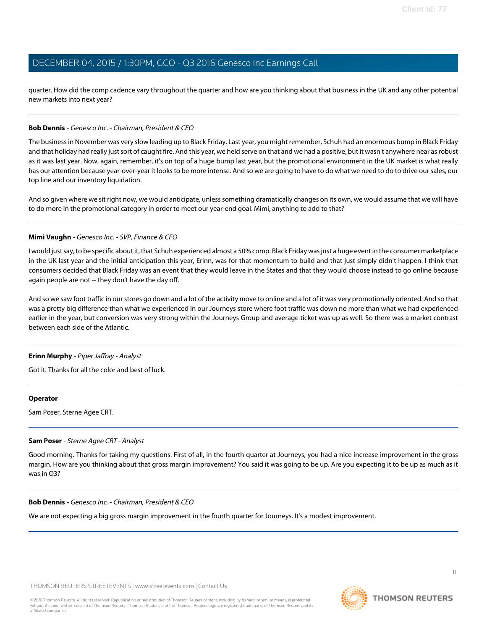quarter. How did the comp cadence vary throughout the quarter and how are you thinking about that business in the UK and any other potential new markets into next year?

#### **Bob Dennis** - Genesco Inc. - Chairman, President & CEO

The business in November was very slow leading up to Black Friday. Last year, you might remember, Schuh had an enormous bump in Black Friday and that holiday had really just sort of caught fire. And this year, we held serve on that and we had a positive, but it wasn't anywhere near as robust as it was last year. Now, again, remember, it's on top of a huge bump last year, but the promotional environment in the UK market is what really has our attention because year-over-year it looks to be more intense. And so we are going to have to do what we need to do to drive our sales, our top line and our inventory liquidation.

And so given where we sit right now, we would anticipate, unless something dramatically changes on its own, we would assume that we will have to do more in the promotional category in order to meet our year-end goal. Mimi, anything to add to that?

#### **Mimi Vaughn** - Genesco Inc. - SVP, Finance & CFO

I would just say, to be specific about it, that Schuh experienced almost a 50% comp. Black Friday was just a huge event in the consumer marketplace in the UK last year and the initial anticipation this year, Erinn, was for that momentum to build and that just simply didn't happen. I think that consumers decided that Black Friday was an event that they would leave in the States and that they would choose instead to go online because again people are not -- they don't have the day off.

And so we saw foot traffic in our stores go down and a lot of the activity move to online and a lot of it was very promotionally oriented. And so that was a pretty big difference than what we experienced in our Journeys store where foot traffic was down no more than what we had experienced earlier in the year, but conversion was very strong within the Journeys Group and average ticket was up as well. So there was a market contrast between each side of the Atlantic.

#### **Erinn Murphy** - Piper Jaffray - Analyst

Got it. Thanks for all the color and best of luck.

#### <span id="page-10-0"></span>**Operator**

Sam Poser, Sterne Agee CRT.

#### **Sam Poser** - Sterne Agee CRT - Analyst

Good morning. Thanks for taking my questions. First of all, in the fourth quarter at Journeys, you had a nice increase improvement in the gross margin. How are you thinking about that gross margin improvement? You said it was going to be up. Are you expecting it to be up as much as it was in Q3?

#### **Bob Dennis** - Genesco Inc. - Chairman, President & CEO

We are not expecting a big gross margin improvement in the fourth quarter for Journeys. It's a modest improvement.



11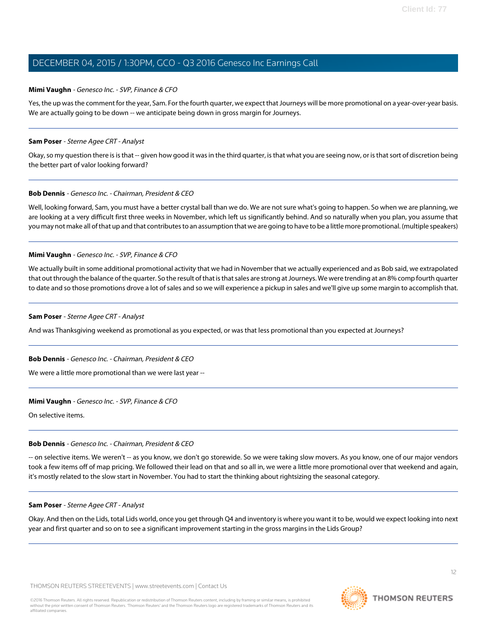#### **Mimi Vaughn** - Genesco Inc. - SVP, Finance & CFO

Yes, the up was the comment for the year, Sam. For the fourth quarter, we expect that Journeys will be more promotional on a year-over-year basis. We are actually going to be down -- we anticipate being down in gross margin for Journeys.

#### **Sam Poser** - Sterne Agee CRT - Analyst

Okay, so my question there is is that -- given how good it was in the third quarter, is that what you are seeing now, or is that sort of discretion being the better part of valor looking forward?

#### **Bob Dennis** - Genesco Inc. - Chairman, President & CEO

Well, looking forward, Sam, you must have a better crystal ball than we do. We are not sure what's going to happen. So when we are planning, we are looking at a very difficult first three weeks in November, which left us significantly behind. And so naturally when you plan, you assume that you may not make all of that up and that contributes to an assumption that we are going to have to be a little more promotional. (multiple speakers)

#### **Mimi Vaughn** - Genesco Inc. - SVP, Finance & CFO

We actually built in some additional promotional activity that we had in November that we actually experienced and as Bob said, we extrapolated that out through the balance of the quarter. So the result of that is that sales are strong at Journeys. We were trending at an 8% comp fourth quarter to date and so those promotions drove a lot of sales and so we will experience a pickup in sales and we'll give up some margin to accomplish that.

#### **Sam Poser** - Sterne Agee CRT - Analyst

And was Thanksgiving weekend as promotional as you expected, or was that less promotional than you expected at Journeys?

#### **Bob Dennis** - Genesco Inc. - Chairman, President & CEO

We were a little more promotional than we were last year --

#### **Mimi Vaughn** - Genesco Inc. - SVP, Finance & CFO

On selective items.

### **Bob Dennis** - Genesco Inc. - Chairman, President & CEO

-- on selective items. We weren't -- as you know, we don't go storewide. So we were taking slow movers. As you know, one of our major vendors took a few items off of map pricing. We followed their lead on that and so all in, we were a little more promotional over that weekend and again, it's mostly related to the slow start in November. You had to start the thinking about rightsizing the seasonal category.

### **Sam Poser** - Sterne Agee CRT - Analyst

Okay. And then on the Lids, total Lids world, once you get through Q4 and inventory is where you want it to be, would we expect looking into next year and first quarter and so on to see a significant improvement starting in the gross margins in the Lids Group?

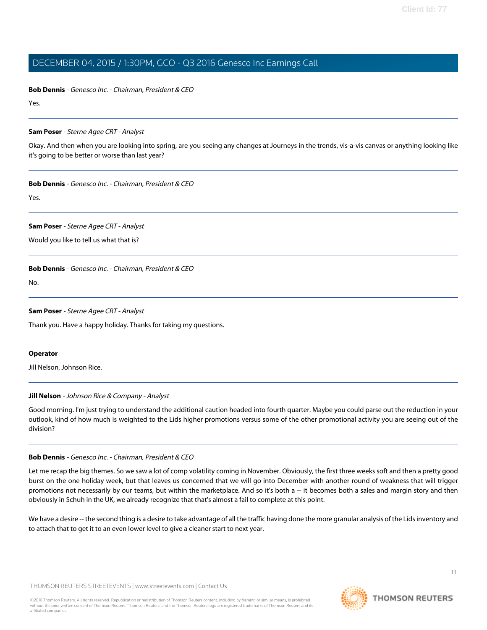**Bob Dennis** - Genesco Inc. - Chairman, President & CEO

Yes.

#### **Sam Poser** - Sterne Agee CRT - Analyst

Okay. And then when you are looking into spring, are you seeing any changes at Journeys in the trends, vis-a-vis canvas or anything looking like it's going to be better or worse than last year?

#### **Bob Dennis** - Genesco Inc. - Chairman, President & CEO

Yes.

#### **Sam Poser** - Sterne Agee CRT - Analyst

Would you like to tell us what that is?

#### **Bob Dennis** - Genesco Inc. - Chairman, President & CEO

No.

#### **Sam Poser** - Sterne Agee CRT - Analyst

Thank you. Have a happy holiday. Thanks for taking my questions.

#### <span id="page-12-0"></span>**Operator**

Jill Nelson, Johnson Rice.

### **Jill Nelson** - Johnson Rice & Company - Analyst

Good morning. I'm just trying to understand the additional caution headed into fourth quarter. Maybe you could parse out the reduction in your outlook, kind of how much is weighted to the Lids higher promotions versus some of the other promotional activity you are seeing out of the division?

#### **Bob Dennis** - Genesco Inc. - Chairman, President & CEO

Let me recap the big themes. So we saw a lot of comp volatility coming in November. Obviously, the first three weeks soft and then a pretty good burst on the one holiday week, but that leaves us concerned that we will go into December with another round of weakness that will trigger promotions not necessarily by our teams, but within the marketplace. And so it's both a -- it becomes both a sales and margin story and then obviously in Schuh in the UK, we already recognize that that's almost a fail to complete at this point.

We have a desire -- the second thing is a desire to take advantage of all the traffic having done the more granular analysis of the Lids inventory and to attach that to get it to an even lower level to give a cleaner start to next year.

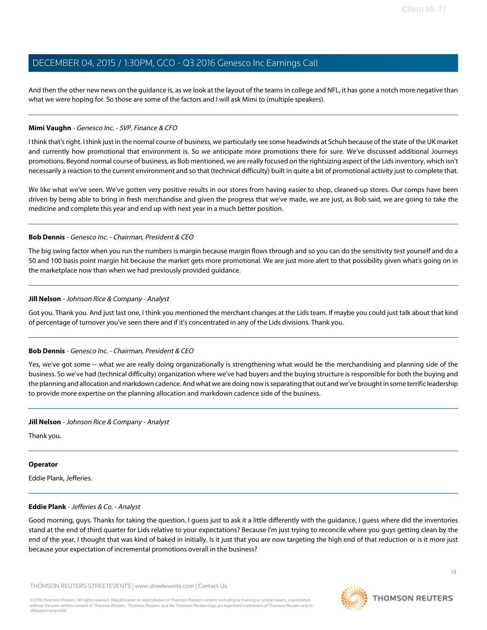And then the other new news on the guidance is, as we look at the layout of the teams in college and NFL, it has gone a notch more negative than what we were hoping for. So those are some of the factors and I will ask Mimi to (multiple speakers).

#### **Mimi Vaughn** - Genesco Inc. - SVP, Finance & CFO

I think that's right. I think just in the normal course of business, we particularly see some headwinds at Schuh because of the state of the UK market and currently how promotional that environment is. So we anticipate more promotions there for sure. We've discussed additional Journeys promotions. Beyond normal course of business, as Bob mentioned, we are really focused on the rightsizing aspect of the Lids inventory, which isn't necessarily a reaction to the current environment and so that (technical difficulty) built in quite a bit of promotional activity just to complete that.

We like what we've seen. We've gotten very positive results in our stores from having easier to shop, cleaned-up stores. Our comps have been driven by being able to bring in fresh merchandise and given the progress that we've made, we are just, as Bob said, we are going to take the medicine and complete this year and end up with next year in a much better position.

#### **Bob Dennis** - Genesco Inc. - Chairman, President & CEO

The big swing factor when you run the numbers is margin because margin flows through and so you can do the sensitivity test yourself and do a 50 and 100 basis point margin hit because the market gets more promotional. We are just more alert to that possibility given what's going on in the marketplace now than when we had previously provided guidance.

#### **Jill Nelson** - Johnson Rice & Company - Analyst

Got you. Thank you. And just last one, I think you mentioned the merchant changes at the Lids team. If maybe you could just talk about that kind of percentage of turnover you've seen there and if it's concentrated in any of the Lids divisions. Thank you.

### **Bob Dennis** - Genesco Inc. - Chairman, President & CEO

Yes, we've got some -- what we are really doing organizationally is strengthening what would be the merchandising and planning side of the business. So we've had (technical difficulty) organization where we've had buyers and the buying structure is responsible for both the buying and the planning and allocation and markdown cadence. And what we are doing now is separating that out and we've brought in some terrific leadership to provide more expertise on the planning allocation and markdown cadence side of the business.

### **Jill Nelson** - Johnson Rice & Company - Analyst

Thank you.

#### <span id="page-13-0"></span>**Operator**

Eddie Plank, Jefferies.

#### **Eddie Plank** - Jefferies & Co. - Analyst

Good morning, guys. Thanks for taking the question. I guess just to ask it a little differently with the guidance, I guess where did the inventories stand at the end of third quarter for Lids relative to your expectations? Because I'm just trying to reconcile where you guys getting clean by the end of the year, I thought that was kind of baked in initially. Is it just that you are now targeting the high end of that reduction or is it more just because your expectation of incremental promotions overall in the business?

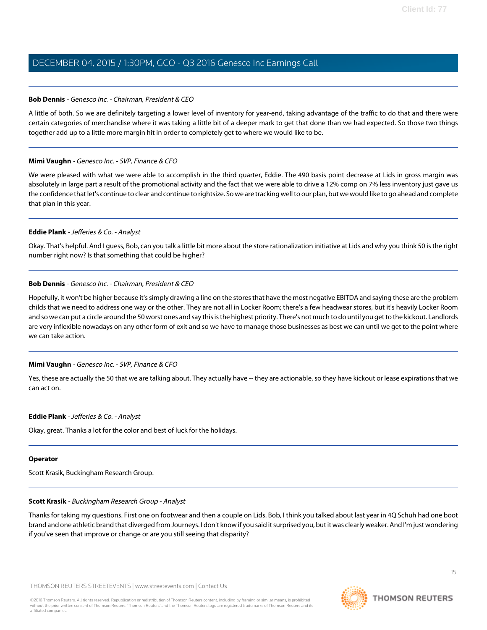#### **Bob Dennis** - Genesco Inc. - Chairman, President & CEO

A little of both. So we are definitely targeting a lower level of inventory for year-end, taking advantage of the traffic to do that and there were certain categories of merchandise where it was taking a little bit of a deeper mark to get that done than we had expected. So those two things together add up to a little more margin hit in order to completely get to where we would like to be.

#### **Mimi Vaughn** - Genesco Inc. - SVP, Finance & CFO

We were pleased with what we were able to accomplish in the third quarter, Eddie. The 490 basis point decrease at Lids in gross margin was absolutely in large part a result of the promotional activity and the fact that we were able to drive a 12% comp on 7% less inventory just gave us the confidence that let's continue to clear and continue to rightsize. So we are tracking well to our plan, but we would like to go ahead and complete that plan in this year.

#### **Eddie Plank** - Jefferies & Co. - Analyst

Okay. That's helpful. And I guess, Bob, can you talk a little bit more about the store rationalization initiative at Lids and why you think 50 is the right number right now? Is that something that could be higher?

#### **Bob Dennis** - Genesco Inc. - Chairman, President & CEO

Hopefully, it won't be higher because it's simply drawing a line on the stores that have the most negative EBITDA and saying these are the problem childs that we need to address one way or the other. They are not all in Locker Room; there's a few headwear stores, but it's heavily Locker Room and so we can put a circle around the 50 worst ones and say this is the highest priority. There's not much to do until you get to the kickout. Landlords are very inflexible nowadays on any other form of exit and so we have to manage those businesses as best we can until we get to the point where we can take action.

#### **Mimi Vaughn** - Genesco Inc. - SVP, Finance & CFO

Yes, these are actually the 50 that we are talking about. They actually have -- they are actionable, so they have kickout or lease expirations that we can act on.

#### **Eddie Plank** - Jefferies & Co. - Analyst

Okay, great. Thanks a lot for the color and best of luck for the holidays.

#### <span id="page-14-0"></span>**Operator**

Scott Krasik, Buckingham Research Group.

#### **Scott Krasik** - Buckingham Research Group - Analyst

Thanks for taking my questions. First one on footwear and then a couple on Lids. Bob, I think you talked about last year in 4Q Schuh had one boot brand and one athletic brand that diverged from Journeys. I don't know if you said it surprised you, but it was clearly weaker. And I'm just wondering if you've seen that improve or change or are you still seeing that disparity?

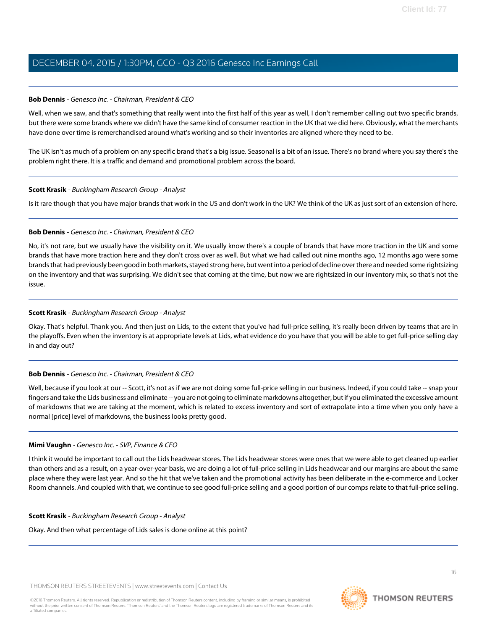#### **Bob Dennis** - Genesco Inc. - Chairman, President & CEO

Well, when we saw, and that's something that really went into the first half of this year as well, I don't remember calling out two specific brands, but there were some brands where we didn't have the same kind of consumer reaction in the UK that we did here. Obviously, what the merchants have done over time is remerchandised around what's working and so their inventories are aligned where they need to be.

The UK isn't as much of a problem on any specific brand that's a big issue. Seasonal is a bit of an issue. There's no brand where you say there's the problem right there. It is a traffic and demand and promotional problem across the board.

#### **Scott Krasik** - Buckingham Research Group - Analyst

Is it rare though that you have major brands that work in the US and don't work in the UK? We think of the UK as just sort of an extension of here.

#### **Bob Dennis** - Genesco Inc. - Chairman, President & CEO

No, it's not rare, but we usually have the visibility on it. We usually know there's a couple of brands that have more traction in the UK and some brands that have more traction here and they don't cross over as well. But what we had called out nine months ago, 12 months ago were some brands that had previously been good in both markets, stayed strong here, but went into a period of decline over there and needed some rightsizing on the inventory and that was surprising. We didn't see that coming at the time, but now we are rightsized in our inventory mix, so that's not the issue.

#### **Scott Krasik** - Buckingham Research Group - Analyst

Okay. That's helpful. Thank you. And then just on Lids, to the extent that you've had full-price selling, it's really been driven by teams that are in the playoffs. Even when the inventory is at appropriate levels at Lids, what evidence do you have that you will be able to get full-price selling day in and day out?

#### **Bob Dennis** - Genesco Inc. - Chairman, President & CEO

Well, because if you look at our -- Scott, it's not as if we are not doing some full-price selling in our business. Indeed, if you could take -- snap your fingers and take the Lids business and eliminate -- you are not going to eliminate markdowns altogether, but if you eliminated the excessive amount of markdowns that we are taking at the moment, which is related to excess inventory and sort of extrapolate into a time when you only have a normal [price] level of markdowns, the business looks pretty good.

#### **Mimi Vaughn** - Genesco Inc. - SVP, Finance & CFO

I think it would be important to call out the Lids headwear stores. The Lids headwear stores were ones that we were able to get cleaned up earlier than others and as a result, on a year-over-year basis, we are doing a lot of full-price selling in Lids headwear and our margins are about the same place where they were last year. And so the hit that we've taken and the promotional activity has been deliberate in the e-commerce and Locker Room channels. And coupled with that, we continue to see good full-price selling and a good portion of our comps relate to that full-price selling.

#### **Scott Krasik** - Buckingham Research Group - Analyst

Okay. And then what percentage of Lids sales is done online at this point?



16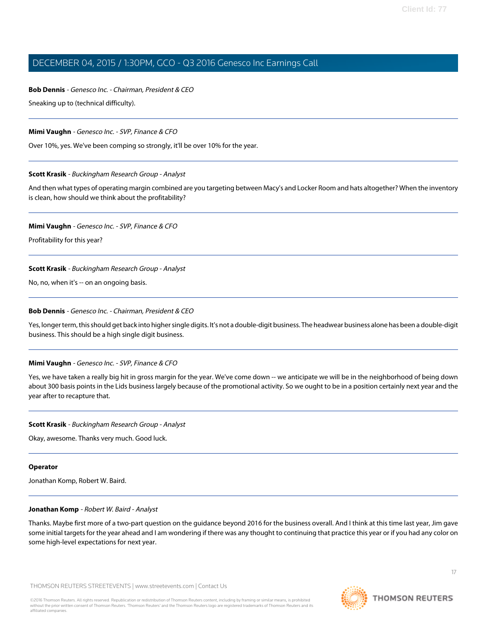# **Bob Dennis** - Genesco Inc. - Chairman, President & CEO

Sneaking up to (technical difficulty).

### **Mimi Vaughn** - Genesco Inc. - SVP, Finance & CFO

Over 10%, yes. We've been comping so strongly, it'll be over 10% for the year.

### **Scott Krasik** - Buckingham Research Group - Analyst

And then what types of operating margin combined are you targeting between Macy's and Locker Room and hats altogether? When the inventory is clean, how should we think about the profitability?

### **Mimi Vaughn** - Genesco Inc. - SVP, Finance & CFO

Profitability for this year?

## **Scott Krasik** - Buckingham Research Group - Analyst

No, no, when it's -- on an ongoing basis.

### **Bob Dennis** - Genesco Inc. - Chairman, President & CEO

Yes, longer term, this should get back into higher single digits. It's not a double-digit business. The headwear business alone has been a double-digit business. This should be a high single digit business.

## **Mimi Vaughn** - Genesco Inc. - SVP, Finance & CFO

Yes, we have taken a really big hit in gross margin for the year. We've come down -- we anticipate we will be in the neighborhood of being down about 300 basis points in the Lids business largely because of the promotional activity. So we ought to be in a position certainly next year and the year after to recapture that.

## **Scott Krasik** - Buckingham Research Group - Analyst

Okay, awesome. Thanks very much. Good luck.

### <span id="page-16-0"></span>**Operator**

Jonathan Komp, Robert W. Baird.

## **Jonathan Komp** - Robert W. Baird - Analyst

Thanks. Maybe first more of a two-part question on the guidance beyond 2016 for the business overall. And I think at this time last year, Jim gave some initial targets for the year ahead and I am wondering if there was any thought to continuing that practice this year or if you had any color on some high-level expectations for next year.

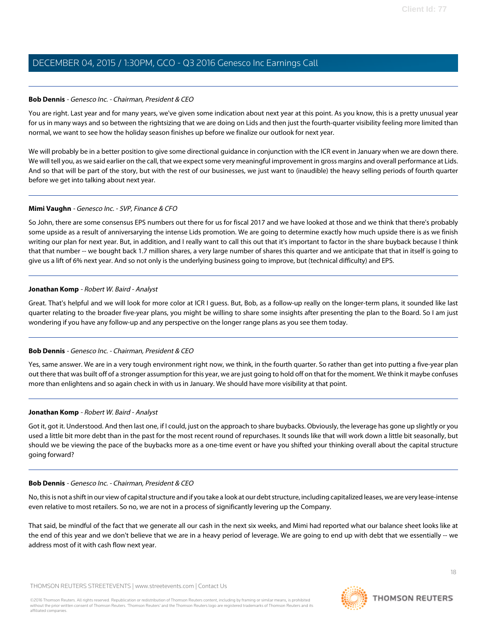#### **Bob Dennis** - Genesco Inc. - Chairman, President & CEO

You are right. Last year and for many years, we've given some indication about next year at this point. As you know, this is a pretty unusual year for us in many ways and so between the rightsizing that we are doing on Lids and then just the fourth-quarter visibility feeling more limited than normal, we want to see how the holiday season finishes up before we finalize our outlook for next year.

We will probably be in a better position to give some directional guidance in conjunction with the ICR event in January when we are down there. We will tell you, as we said earlier on the call, that we expect some very meaningful improvement in gross margins and overall performance at Lids. And so that will be part of the story, but with the rest of our businesses, we just want to (inaudible) the heavy selling periods of fourth quarter before we get into talking about next year.

#### **Mimi Vaughn** - Genesco Inc. - SVP, Finance & CFO

So John, there are some consensus EPS numbers out there for us for fiscal 2017 and we have looked at those and we think that there's probably some upside as a result of anniversarying the intense Lids promotion. We are going to determine exactly how much upside there is as we finish writing our plan for next year. But, in addition, and I really want to call this out that it's important to factor in the share buyback because I think that that number -- we bought back 1.7 million shares, a very large number of shares this quarter and we anticipate that that in itself is going to give us a lift of 6% next year. And so not only is the underlying business going to improve, but (technical difficulty) and EPS.

#### **Jonathan Komp** - Robert W. Baird - Analyst

Great. That's helpful and we will look for more color at ICR I guess. But, Bob, as a follow-up really on the longer-term plans, it sounded like last quarter relating to the broader five-year plans, you might be willing to share some insights after presenting the plan to the Board. So I am just wondering if you have any follow-up and any perspective on the longer range plans as you see them today.

### **Bob Dennis** - Genesco Inc. - Chairman, President & CEO

Yes, same answer. We are in a very tough environment right now, we think, in the fourth quarter. So rather than get into putting a five-year plan out there that was built off of a stronger assumption for this year, we are just going to hold off on that for the moment. We think it maybe confuses more than enlightens and so again check in with us in January. We should have more visibility at that point.

#### **Jonathan Komp** - Robert W. Baird - Analyst

Got it, got it. Understood. And then last one, if I could, just on the approach to share buybacks. Obviously, the leverage has gone up slightly or you used a little bit more debt than in the past for the most recent round of repurchases. It sounds like that will work down a little bit seasonally, but should we be viewing the pace of the buybacks more as a one-time event or have you shifted your thinking overall about the capital structure going forward?

#### **Bob Dennis** - Genesco Inc. - Chairman, President & CEO

No, this is not a shift in our view of capital structure and if you take a look at our debt structure, including capitalized leases, we are very lease-intense even relative to most retailers. So no, we are not in a process of significantly levering up the Company.

That said, be mindful of the fact that we generate all our cash in the next six weeks, and Mimi had reported what our balance sheet looks like at the end of this year and we don't believe that we are in a heavy period of leverage. We are going to end up with debt that we essentially -- we address most of it with cash flow next year.

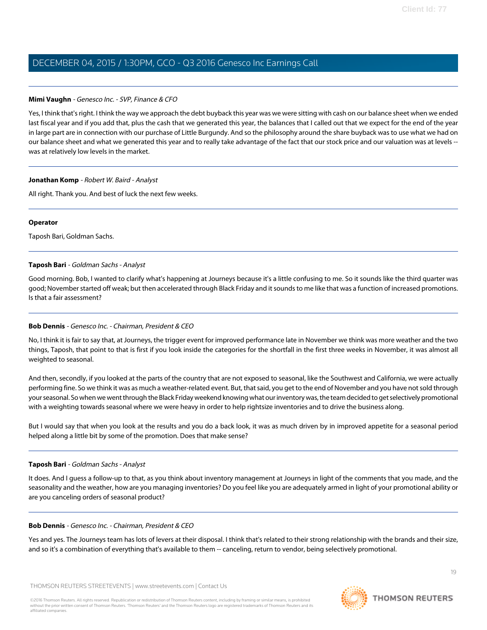#### **Mimi Vaughn** - Genesco Inc. - SVP, Finance & CFO

Yes, I think that's right. I think the way we approach the debt buyback this year was we were sitting with cash on our balance sheet when we ended last fiscal year and if you add that, plus the cash that we generated this year, the balances that I called out that we expect for the end of the year in large part are in connection with our purchase of Little Burgundy. And so the philosophy around the share buyback was to use what we had on our balance sheet and what we generated this year and to really take advantage of the fact that our stock price and our valuation was at levels - was at relatively low levels in the market.

#### **Jonathan Komp** - Robert W. Baird - Analyst

All right. Thank you. And best of luck the next few weeks.

#### **Operator**

<span id="page-18-0"></span>Taposh Bari, Goldman Sachs.

#### **Taposh Bari** - Goldman Sachs - Analyst

Good morning. Bob, I wanted to clarify what's happening at Journeys because it's a little confusing to me. So it sounds like the third quarter was good; November started off weak; but then accelerated through Black Friday and it sounds to me like that was a function of increased promotions. Is that a fair assessment?

### **Bob Dennis** - Genesco Inc. - Chairman, President & CEO

No, I think it is fair to say that, at Journeys, the trigger event for improved performance late in November we think was more weather and the two things, Taposh, that point to that is first if you look inside the categories for the shortfall in the first three weeks in November, it was almost all weighted to seasonal.

And then, secondly, if you looked at the parts of the country that are not exposed to seasonal, like the Southwest and California, we were actually performing fine. So we think it was as much a weather-related event. But, that said, you get to the end of November and you have not sold through your seasonal. So when we went through the Black Friday weekend knowing what our inventory was, the team decided to get selectively promotional with a weighting towards seasonal where we were heavy in order to help rightsize inventories and to drive the business along.

But I would say that when you look at the results and you do a back look, it was as much driven by in improved appetite for a seasonal period helped along a little bit by some of the promotion. Does that make sense?

#### **Taposh Bari** - Goldman Sachs - Analyst

It does. And I guess a follow-up to that, as you think about inventory management at Journeys in light of the comments that you made, and the seasonality and the weather, how are you managing inventories? Do you feel like you are adequately armed in light of your promotional ability or are you canceling orders of seasonal product?

#### **Bob Dennis** - Genesco Inc. - Chairman, President & CEO

Yes and yes. The Journeys team has lots of levers at their disposal. I think that's related to their strong relationship with the brands and their size, and so it's a combination of everything that's available to them -- canceling, return to vendor, being selectively promotional.

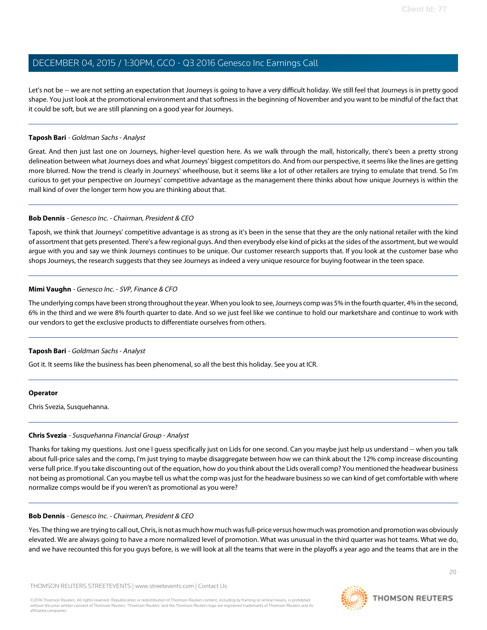Let's not be -- we are not setting an expectation that Journeys is going to have a very difficult holiday. We still feel that Journeys is in pretty good shape. You just look at the promotional environment and that softness in the beginning of November and you want to be mindful of the fact that it could be soft, but we are still planning on a good year for Journeys.

#### **Taposh Bari** - Goldman Sachs - Analyst

Great. And then just last one on Journeys, higher-level question here. As we walk through the mall, historically, there's been a pretty strong delineation between what Journeys does and what Journeys' biggest competitors do. And from our perspective, it seems like the lines are getting more blurred. Now the trend is clearly in Journeys' wheelhouse, but it seems like a lot of other retailers are trying to emulate that trend. So I'm curious to get your perspective on Journeys' competitive advantage as the management there thinks about how unique Journeys is within the mall kind of over the longer term how you are thinking about that.

#### **Bob Dennis** - Genesco Inc. - Chairman, President & CEO

Taposh, we think that Journeys' competitive advantage is as strong as it's been in the sense that they are the only national retailer with the kind of assortment that gets presented. There's a few regional guys. And then everybody else kind of picks at the sides of the assortment, but we would argue with you and say we think Journeys continues to be unique. Our customer research supports that. If you look at the customer base who shops Journeys, the research suggests that they see Journeys as indeed a very unique resource for buying footwear in the teen space.

#### **Mimi Vaughn** - Genesco Inc. - SVP, Finance & CFO

The underlying comps have been strong throughout the year. When you look to see, Journeys comp was 5% in the fourth quarter, 4% in the second, 6% in the third and we were 8% fourth quarter to date. And so we just feel like we continue to hold our marketshare and continue to work with our vendors to get the exclusive products to differentiate ourselves from others.

### **Taposh Bari** - Goldman Sachs - Analyst

Got it. It seems like the business has been phenomenal, so all the best this holiday. See you at ICR.

#### <span id="page-19-0"></span>**Operator**

Chris Svezia, Susquehanna.

### **Chris Svezia** - Susquehanna Financial Group - Analyst

Thanks for taking my questions. Just one I guess specifically just on Lids for one second. Can you maybe just help us understand -- when you talk about full-price sales and the comp, I'm just trying to maybe disaggregate between how we can think about the 12% comp increase discounting verse full price. If you take discounting out of the equation, how do you think about the Lids overall comp? You mentioned the headwear business not being as promotional. Can you maybe tell us what the comp was just for the headware business so we can kind of get comfortable with where normalize comps would be if you weren't as promotional as you were?

#### **Bob Dennis** - Genesco Inc. - Chairman, President & CEO

Yes. The thing we are trying to call out, Chris, is not as much how much was full-price versus how much was promotion and promotion was obviously elevated. We are always going to have a more normalized level of promotion. What was unusual in the third quarter was hot teams. What we do, and we have recounted this for you guys before, is we will look at all the teams that were in the playoffs a year ago and the teams that are in the

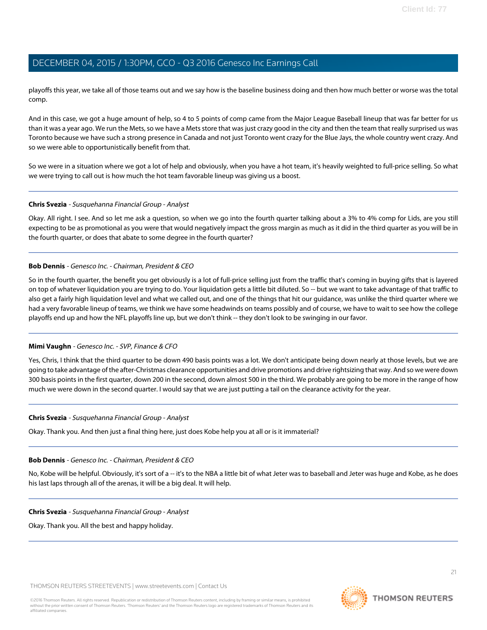playoffs this year, we take all of those teams out and we say how is the baseline business doing and then how much better or worse was the total comp.

And in this case, we got a huge amount of help, so 4 to 5 points of comp came from the Major League Baseball lineup that was far better for us than it was a year ago. We run the Mets, so we have a Mets store that was just crazy good in the city and then the team that really surprised us was Toronto because we have such a strong presence in Canada and not just Toronto went crazy for the Blue Jays, the whole country went crazy. And so we were able to opportunistically benefit from that.

So we were in a situation where we got a lot of help and obviously, when you have a hot team, it's heavily weighted to full-price selling. So what we were trying to call out is how much the hot team favorable lineup was giving us a boost.

#### **Chris Svezia** - Susquehanna Financial Group - Analyst

Okay. All right. I see. And so let me ask a question, so when we go into the fourth quarter talking about a 3% to 4% comp for Lids, are you still expecting to be as promotional as you were that would negatively impact the gross margin as much as it did in the third quarter as you will be in the fourth quarter, or does that abate to some degree in the fourth quarter?

#### **Bob Dennis** - Genesco Inc. - Chairman, President & CEO

So in the fourth quarter, the benefit you get obviously is a lot of full-price selling just from the traffic that's coming in buying gifts that is layered on top of whatever liquidation you are trying to do. Your liquidation gets a little bit diluted. So -- but we want to take advantage of that traffic to also get a fairly high liquidation level and what we called out, and one of the things that hit our guidance, was unlike the third quarter where we had a very favorable lineup of teams, we think we have some headwinds on teams possibly and of course, we have to wait to see how the college playoffs end up and how the NFL playoffs line up, but we don't think -- they don't look to be swinging in our favor.

### **Mimi Vaughn** - Genesco Inc. - SVP, Finance & CFO

Yes, Chris, I think that the third quarter to be down 490 basis points was a lot. We don't anticipate being down nearly at those levels, but we are going to take advantage of the after-Christmas clearance opportunities and drive promotions and drive rightsizing that way. And so we were down 300 basis points in the first quarter, down 200 in the second, down almost 500 in the third. We probably are going to be more in the range of how much we were down in the second quarter. I would say that we are just putting a tail on the clearance activity for the year.

#### **Chris Svezia** - Susquehanna Financial Group - Analyst

Okay. Thank you. And then just a final thing here, just does Kobe help you at all or is it immaterial?

#### **Bob Dennis** - Genesco Inc. - Chairman, President & CEO

No, Kobe will be helpful. Obviously, it's sort of a -- it's to the NBA a little bit of what Jeter was to baseball and Jeter was huge and Kobe, as he does his last laps through all of the arenas, it will be a big deal. It will help.

#### **Chris Svezia** - Susquehanna Financial Group - Analyst

Okay. Thank you. All the best and happy holiday.